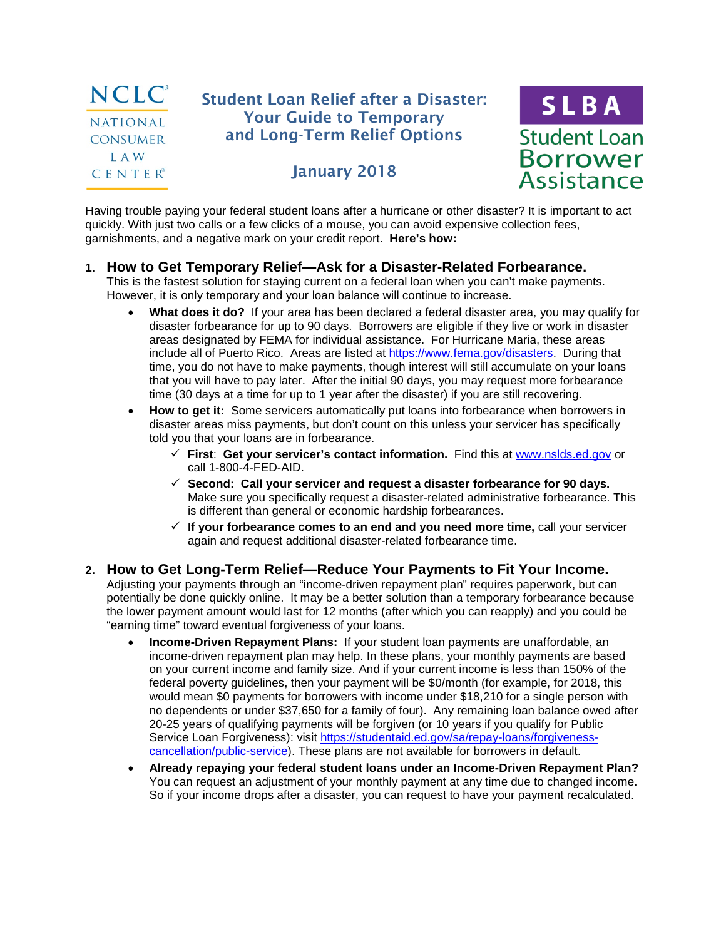

# Student Loan Relief after a Disaster: Your Guide to Temporary and Long-Term Relief Options

# January 2018



Having trouble paying your federal student loans after a hurricane or other disaster? It is important to act quickly. With just two calls or a few clicks of a mouse, you can avoid expensive collection fees, garnishments, and a negative mark on your credit report. **Here's how:**

#### **1. How to Get Temporary Relief—Ask for a Disaster-Related Forbearance.**

This is the fastest solution for staying current on a federal loan when you can't make payments. However, it is only temporary and your loan balance will continue to increase.

- **What does it do?** If your area has been declared a federal disaster area, you may qualify for disaster forbearance for up to 90 days. Borrowers are eligible if they live or work in disaster areas designated by FEMA for individual assistance. For Hurricane Maria, these areas include all of Puerto Rico. Areas are listed at [https://www.fema.gov/disasters.](https://www.fema.gov/disasters) During that time, you do not have to make payments, though interest will still accumulate on your loans that you will have to pay later. After the initial 90 days, you may request more forbearance time (30 days at a time for up to 1 year after the disaster) if you are still recovering.
- **How to get it:** Some servicers automatically put loans into forbearance when borrowers in disaster areas miss payments, but don't count on this unless your servicer has specifically told you that your loans are in forbearance.
	- **First**: **Get your servicer's contact information.** Find this at [www.nslds.ed.gov](https://www.nslds.ed.gov/nslds/nslds_SA/) or call 1-800-4-FED-AID.
	- **Second: Call your servicer and request a disaster forbearance for 90 days.**  Make sure you specifically request a disaster-related administrative forbearance. This is different than general or economic hardship forbearances.
	- **If your forbearance comes to an end and you need more time,** call your servicer again and request additional disaster-related forbearance time.
- **2. How to Get Long-Term Relief—Reduce Your Payments to Fit Your Income.** Adjusting your payments through an "income-driven repayment plan" requires paperwork, but can potentially be done quickly online. It may be a better solution than a temporary forbearance because the lower payment amount would last for 12 months (after which you can reapply) and you could be "earning time" toward eventual forgiveness of your loans.
	- **Income-Driven Repayment Plans:** If your student loan payments are unaffordable, an income-driven repayment plan may help. In these plans, your monthly payments are based on your current income and family size. And if your current income is less than 150% of the federal poverty guidelines, then your payment will be \$0/month (for example, for 2018, this would mean \$0 payments for borrowers with income under \$18,210 for a single person with no dependents or under \$37,650 for a family of four). Any remaining loan balance owed after 20-25 years of qualifying payments will be forgiven (or 10 years if you qualify for Public Service Loan Forgiveness): visit [https://studentaid.ed.gov/sa/repay-loans/forgiveness](https://studentaid.ed.gov/sa/repay-loans/forgiveness-cancellation/public-service)[cancellation/public-service\)](https://studentaid.ed.gov/sa/repay-loans/forgiveness-cancellation/public-service). These plans are not available for borrowers in default.
	- **Already repaying your federal student loans under an Income-Driven Repayment Plan?** You can request an adjustment of your monthly payment at any time due to changed income. So if your income drops after a disaster, you can request to have your payment recalculated.